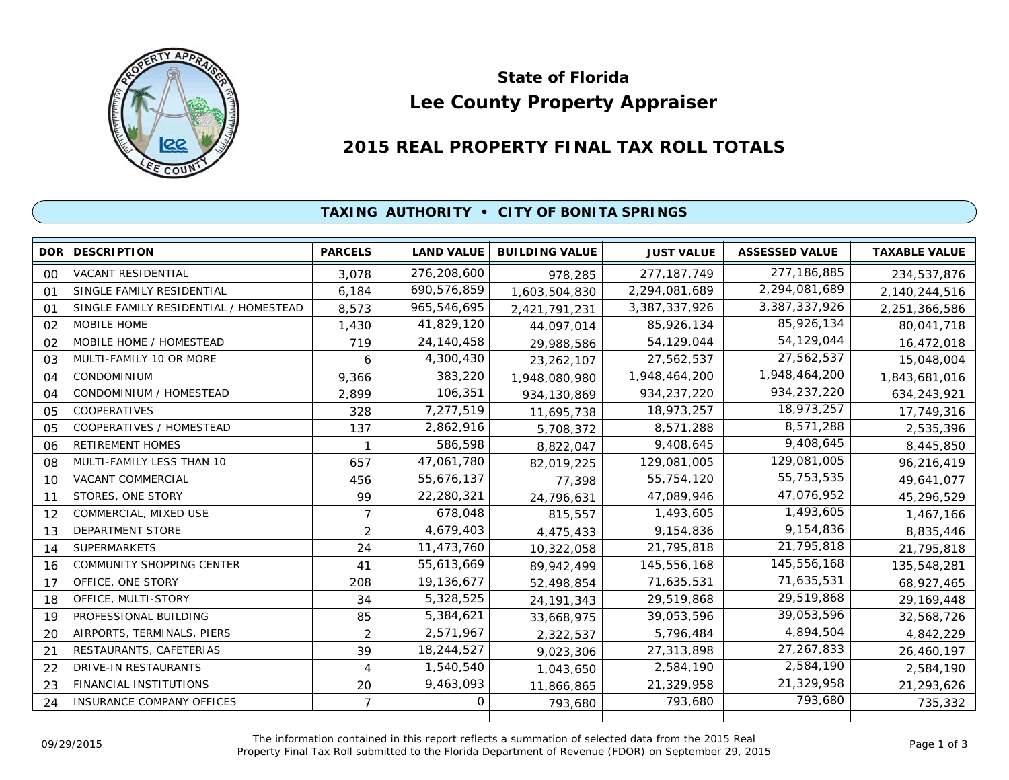

# **Lee County Property Appraiser State of Florida**

# **2015 REAL PROPERTY FINAL TAX ROLL TOTALS**

## **TAXING AUTHORITY • CITY OF BONITA SPRINGS**

| <b>DOR</b>     | <b>DESCRIPTION</b>                    | <b>PARCELS</b> | <b>LAND VALUE</b> | <b>BUILDING VALUE</b> | <b>JUST VALUE</b> | <b>ASSESSED VALUE</b> | <b>TAXABLE VALUE</b> |
|----------------|---------------------------------------|----------------|-------------------|-----------------------|-------------------|-----------------------|----------------------|
| 0 <sup>0</sup> | <b>VACANT RESIDENTIAL</b>             | 3.078          | 276,208,600       | 978,285               | 277, 187, 749     | 277, 186, 885         | 234,537,876          |
| $^{\circ}$     | SINGLE FAMILY RESIDENTIAL             | 6.184          | 690,576,859       | 1,603,504,830         | 2,294,081,689     | 2,294,081,689         | 2,140,244,516        |
| 01             | SINGLE FAMILY RESIDENTIAL / HOMESTEAD | 8,573          | 965,546,695       | 2,421,791,231         | 3,387,337,926     | 3,387,337,926         | 2,251,366,586        |
| 02             | MOBILE HOME                           | 1,430          | 41,829,120        | 44,097,014            | 85,926,134        | 85,926,134            | 80,041,718           |
| 02             | MOBILE HOME / HOMESTEAD               | 719            | 24,140,458        | 29,988,586            | 54,129,044        | 54,129,044            | 16,472,018           |
| 03             | MULTI-FAMILY 10 OR MORE               | 6              | 4,300,430         | 23, 262, 107          | 27,562,537        | 27,562,537            | 15,048,004           |
| 04             | CONDOMINIUM                           | 9,366          | 383,220           | 1,948,080,980         | 1,948,464,200     | 1,948,464,200         | 1,843,681,016        |
| 04             | CONDOMINIUM / HOMESTEAD               | 2,899          | 106,351           | 934, 130, 869         | 934,237,220       | 934,237,220           | 634,243,921          |
| 0 <sub>5</sub> | <b>COOPERATIVES</b>                   | 328            | 7,277,519         | 11,695,738            | 18,973,257        | 18,973,257            | 17,749,316           |
| 0 <sub>5</sub> | COOPERATIVES / HOMESTEAD              | 137            | 2,862,916         | 5,708,372             | 8,571,288         | 8,571,288             | 2,535,396            |
| 06             | <b>RETIREMENT HOMES</b>               |                | 586,598           | 8,822,047             | 9,408,645         | 9,408,645             | 8,445,850            |
| 08             | MULTI-FAMILY LESS THAN 10             | 657            | 47,061,780        | 82,019,225            | 129,081,005       | 129,081,005           | 96,216,419           |
| 10             | VACANT COMMERCIAL                     | 456            | 55,676,137        | 77,398                | 55,754,120        | 55,753,535            | 49,641,077           |
| 11             | STORES, ONE STORY                     | 99             | 22,280,321        | 24,796,631            | 47,089,946        | 47,076,952            | 45,296,529           |
| 12             | COMMERCIAL, MIXED USE                 | $\overline{7}$ | 678,048           | 815,557               | 1,493,605         | 1,493,605             | 1,467,166            |
| 13             | DEPARTMENT STORE                      | $\overline{2}$ | 4,679,403         | 4,475,433             | 9,154,836         | 9,154,836             | 8,835,446            |
| 14             | <b>SUPERMARKETS</b>                   | 24             | 11,473,760        | 10,322,058            | 21,795,818        | 21,795,818            | 21,795,818           |
| 16             | <b>COMMUNITY SHOPPING CENTER</b>      | 41             | 55,613,669        | 89,942,499            | 145,556,168       | 145,556,168           | 135,548,281          |
| 17             | OFFICE, ONE STORY                     | 208            | 19,136,677        | 52,498,854            | 71,635,531        | 71,635,531            | 68,927,465           |
| 18             | OFFICE, MULTI-STORY                   | 34             | 5,328,525         | 24, 191, 343          | 29,519,868        | 29,519,868            | 29, 169, 448         |
| 19             | PROFESSIONAL BUILDING                 | 85             | 5,384,621         | 33,668,975            | 39,053,596        | 39,053,596            | 32,568,726           |
| 20             | AIRPORTS, TERMINALS, PIERS            | 2              | 2,571,967         | 2,322,537             | 5,796,484         | 4,894,504             | 4,842,229            |
| 21             | RESTAURANTS, CAFETERIAS               | 39             | 18,244,527        | 9,023,306             | 27,313,898        | 27,267,833            | 26,460,197           |
| 22             | <b>DRIVE-IN RESTAURANTS</b>           | 4              | 1,540,540         | 1,043,650             | 2,584,190         | 2,584,190             | 2,584,190            |
| 23             | <b>FINANCIAL INSTITUTIONS</b>         | 20             | 9,463,093         | 11,866,865            | 21,329,958        | 21,329,958            | 21,293,626           |
| 24             | <b>INSURANCE COMPANY OFFICES</b>      | $\overline{7}$ | 0                 | 793,680               | 793.680           | 793,680               | 735,332              |
|                |                                       |                |                   |                       |                   |                       |                      |

The information contained in this report reflects a summation of selected data from the 2015 Real Ine information contained in this report reflects a summation of selected data from the 2015 Real<br>Property Final Tax Roll submitted to the Florida Department of Revenue (FDOR) on September 29, 2015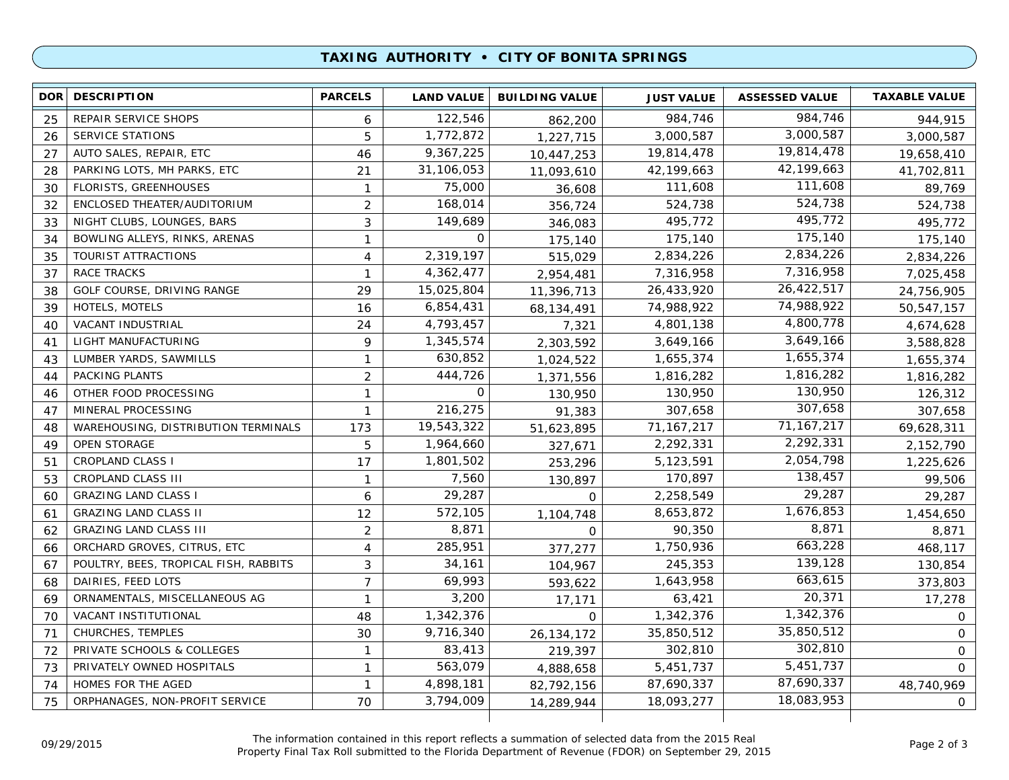### **TAXING AUTHORITY • CITY OF BONITA SPRINGS**

| 984,746<br>122,546<br>REPAIR SERVICE SHOPS<br>984,746<br>25<br>6<br>862,200<br>3,000,587<br>1,772,872<br>3,000,587<br><b>SERVICE STATIONS</b><br>5<br>26<br>1,227,715<br>19,814,478<br>9,367,225<br>19,814,478<br>27<br>AUTO SALES, REPAIR, ETC<br>46<br>10,447,253<br>42,199,663<br>31,106,053<br>PARKING LOTS, MH PARKS, ETC<br>42,199,663<br>28<br>21<br>11,093,610<br>111,608<br>75,000<br><b>FLORISTS, GREENHOUSES</b><br>30<br>111,608<br>$\mathbf{1}$<br>36,608<br>524,738<br>168,014<br>ENCLOSED THEATER/AUDITORIUM<br>$\overline{2}$<br>524,738<br>32<br>356,724<br>495,772<br>149,689<br>NIGHT CLUBS, LOUNGES, BARS<br>495,772<br>3<br>33<br>346,083<br>175,140<br>0<br>BOWLING ALLEYS, RINKS, ARENAS<br>175,140<br>34<br>$\mathbf{1}$<br>175,140<br>2,834,226<br>2,319,197<br>2,834,226<br>TOURIST ATTRACTIONS<br>4<br>35<br>515,029<br>7,316,958<br>4,362,477<br>7,316,958<br>37<br>RACE TRACKS<br>$\mathbf{1}$<br>2,954,481<br>26,422,517<br>15,025,804<br>26,433,920<br>GOLF COURSE, DRIVING RANGE<br>29<br>38<br>11,396,713<br>74,988,922<br>6,854,431<br>HOTELS, MOTELS<br>74,988,922<br>39<br>16<br>68,134,491<br>4,800,778<br>4,793,457<br>VACANT INDUSTRIAL<br>24<br>4,801,138<br>40<br>7,321<br>3,649,166<br>LIGHT MANUFACTURING<br>1,345,574<br>9<br>3,649,166<br>41<br>2,303,592<br>1,655,374<br>630,852<br>LUMBER YARDS, SAWMILLS<br>1,655,374<br>43<br>$\mathbf{1}$<br>1,024,522<br>1,816,282<br>$\overline{2}$<br>444,726<br>PACKING PLANTS<br>1,816,282<br>44<br>1,371,556<br>130,950<br>$\mathbf{O}$<br>OTHER FOOD PROCESSING<br>$\mathbf{1}$<br>130,950<br>46<br>130,950<br>307,658<br>216,275<br>307,658<br>MINERAL PROCESSING<br>47<br>$\mathbf{1}$<br>91,383<br>71, 167, 217<br>19,543,322<br>71, 167, 217<br>WAREHOUSING, DISTRIBUTION TERMINALS<br>173<br>48<br>51,623,895<br>2,292,331<br><b>OPEN STORAGE</b><br>5<br>1,964,660<br>2,292,331<br>49<br>327,671<br>2,054,798<br>1,801,502<br><b>CROPLAND CLASS I</b><br>17<br>5,123,591<br>51<br>253,296<br>138,457<br>7,560<br>CROPLAND CLASS III<br>170,897<br>53<br>$\mathbf{1}$<br>130,897<br>29,287<br>29,287<br><b>GRAZING LAND CLASS I</b><br>6<br>2,258,549<br>60<br>0<br>1,676,853<br>572,105<br><b>GRAZING LAND CLASS II</b><br>12<br>8,653,872<br>61<br>1,104,748<br>8,871<br>$\overline{2}$<br>8,871<br>90,350<br><b>GRAZING LAND CLASS III</b><br>62<br>$\Omega$<br>663,228<br>285,951<br>ORCHARD GROVES, CITRUS, ETC<br>1,750,936<br>4<br>377,277<br>66 | <b>TAXABLE VALUE</b> |
|-------------------------------------------------------------------------------------------------------------------------------------------------------------------------------------------------------------------------------------------------------------------------------------------------------------------------------------------------------------------------------------------------------------------------------------------------------------------------------------------------------------------------------------------------------------------------------------------------------------------------------------------------------------------------------------------------------------------------------------------------------------------------------------------------------------------------------------------------------------------------------------------------------------------------------------------------------------------------------------------------------------------------------------------------------------------------------------------------------------------------------------------------------------------------------------------------------------------------------------------------------------------------------------------------------------------------------------------------------------------------------------------------------------------------------------------------------------------------------------------------------------------------------------------------------------------------------------------------------------------------------------------------------------------------------------------------------------------------------------------------------------------------------------------------------------------------------------------------------------------------------------------------------------------------------------------------------------------------------------------------------------------------------------------------------------------------------------------------------------------------------------------------------------------------------------------------------------------------------------------------------------------------------------------------------------------------------------------------------------------------------------------------------------------------------------------------------|----------------------|
|                                                                                                                                                                                                                                                                                                                                                                                                                                                                                                                                                                                                                                                                                                                                                                                                                                                                                                                                                                                                                                                                                                                                                                                                                                                                                                                                                                                                                                                                                                                                                                                                                                                                                                                                                                                                                                                                                                                                                                                                                                                                                                                                                                                                                                                                                                                                                                                                                                                       | 944,915              |
|                                                                                                                                                                                                                                                                                                                                                                                                                                                                                                                                                                                                                                                                                                                                                                                                                                                                                                                                                                                                                                                                                                                                                                                                                                                                                                                                                                                                                                                                                                                                                                                                                                                                                                                                                                                                                                                                                                                                                                                                                                                                                                                                                                                                                                                                                                                                                                                                                                                       | 3,000,587            |
|                                                                                                                                                                                                                                                                                                                                                                                                                                                                                                                                                                                                                                                                                                                                                                                                                                                                                                                                                                                                                                                                                                                                                                                                                                                                                                                                                                                                                                                                                                                                                                                                                                                                                                                                                                                                                                                                                                                                                                                                                                                                                                                                                                                                                                                                                                                                                                                                                                                       | 19,658,410           |
|                                                                                                                                                                                                                                                                                                                                                                                                                                                                                                                                                                                                                                                                                                                                                                                                                                                                                                                                                                                                                                                                                                                                                                                                                                                                                                                                                                                                                                                                                                                                                                                                                                                                                                                                                                                                                                                                                                                                                                                                                                                                                                                                                                                                                                                                                                                                                                                                                                                       | 41,702,811           |
|                                                                                                                                                                                                                                                                                                                                                                                                                                                                                                                                                                                                                                                                                                                                                                                                                                                                                                                                                                                                                                                                                                                                                                                                                                                                                                                                                                                                                                                                                                                                                                                                                                                                                                                                                                                                                                                                                                                                                                                                                                                                                                                                                                                                                                                                                                                                                                                                                                                       | 89,769               |
|                                                                                                                                                                                                                                                                                                                                                                                                                                                                                                                                                                                                                                                                                                                                                                                                                                                                                                                                                                                                                                                                                                                                                                                                                                                                                                                                                                                                                                                                                                                                                                                                                                                                                                                                                                                                                                                                                                                                                                                                                                                                                                                                                                                                                                                                                                                                                                                                                                                       | 524,738              |
|                                                                                                                                                                                                                                                                                                                                                                                                                                                                                                                                                                                                                                                                                                                                                                                                                                                                                                                                                                                                                                                                                                                                                                                                                                                                                                                                                                                                                                                                                                                                                                                                                                                                                                                                                                                                                                                                                                                                                                                                                                                                                                                                                                                                                                                                                                                                                                                                                                                       | 495,772              |
|                                                                                                                                                                                                                                                                                                                                                                                                                                                                                                                                                                                                                                                                                                                                                                                                                                                                                                                                                                                                                                                                                                                                                                                                                                                                                                                                                                                                                                                                                                                                                                                                                                                                                                                                                                                                                                                                                                                                                                                                                                                                                                                                                                                                                                                                                                                                                                                                                                                       | 175,140              |
|                                                                                                                                                                                                                                                                                                                                                                                                                                                                                                                                                                                                                                                                                                                                                                                                                                                                                                                                                                                                                                                                                                                                                                                                                                                                                                                                                                                                                                                                                                                                                                                                                                                                                                                                                                                                                                                                                                                                                                                                                                                                                                                                                                                                                                                                                                                                                                                                                                                       | 2,834,226            |
|                                                                                                                                                                                                                                                                                                                                                                                                                                                                                                                                                                                                                                                                                                                                                                                                                                                                                                                                                                                                                                                                                                                                                                                                                                                                                                                                                                                                                                                                                                                                                                                                                                                                                                                                                                                                                                                                                                                                                                                                                                                                                                                                                                                                                                                                                                                                                                                                                                                       | 7,025,458            |
|                                                                                                                                                                                                                                                                                                                                                                                                                                                                                                                                                                                                                                                                                                                                                                                                                                                                                                                                                                                                                                                                                                                                                                                                                                                                                                                                                                                                                                                                                                                                                                                                                                                                                                                                                                                                                                                                                                                                                                                                                                                                                                                                                                                                                                                                                                                                                                                                                                                       | 24,756,905           |
|                                                                                                                                                                                                                                                                                                                                                                                                                                                                                                                                                                                                                                                                                                                                                                                                                                                                                                                                                                                                                                                                                                                                                                                                                                                                                                                                                                                                                                                                                                                                                                                                                                                                                                                                                                                                                                                                                                                                                                                                                                                                                                                                                                                                                                                                                                                                                                                                                                                       | 50,547,157           |
|                                                                                                                                                                                                                                                                                                                                                                                                                                                                                                                                                                                                                                                                                                                                                                                                                                                                                                                                                                                                                                                                                                                                                                                                                                                                                                                                                                                                                                                                                                                                                                                                                                                                                                                                                                                                                                                                                                                                                                                                                                                                                                                                                                                                                                                                                                                                                                                                                                                       | 4,674,628            |
|                                                                                                                                                                                                                                                                                                                                                                                                                                                                                                                                                                                                                                                                                                                                                                                                                                                                                                                                                                                                                                                                                                                                                                                                                                                                                                                                                                                                                                                                                                                                                                                                                                                                                                                                                                                                                                                                                                                                                                                                                                                                                                                                                                                                                                                                                                                                                                                                                                                       | 3,588,828            |
|                                                                                                                                                                                                                                                                                                                                                                                                                                                                                                                                                                                                                                                                                                                                                                                                                                                                                                                                                                                                                                                                                                                                                                                                                                                                                                                                                                                                                                                                                                                                                                                                                                                                                                                                                                                                                                                                                                                                                                                                                                                                                                                                                                                                                                                                                                                                                                                                                                                       | 1,655,374            |
|                                                                                                                                                                                                                                                                                                                                                                                                                                                                                                                                                                                                                                                                                                                                                                                                                                                                                                                                                                                                                                                                                                                                                                                                                                                                                                                                                                                                                                                                                                                                                                                                                                                                                                                                                                                                                                                                                                                                                                                                                                                                                                                                                                                                                                                                                                                                                                                                                                                       | 1,816,282            |
|                                                                                                                                                                                                                                                                                                                                                                                                                                                                                                                                                                                                                                                                                                                                                                                                                                                                                                                                                                                                                                                                                                                                                                                                                                                                                                                                                                                                                                                                                                                                                                                                                                                                                                                                                                                                                                                                                                                                                                                                                                                                                                                                                                                                                                                                                                                                                                                                                                                       | 126,312              |
|                                                                                                                                                                                                                                                                                                                                                                                                                                                                                                                                                                                                                                                                                                                                                                                                                                                                                                                                                                                                                                                                                                                                                                                                                                                                                                                                                                                                                                                                                                                                                                                                                                                                                                                                                                                                                                                                                                                                                                                                                                                                                                                                                                                                                                                                                                                                                                                                                                                       | 307,658              |
|                                                                                                                                                                                                                                                                                                                                                                                                                                                                                                                                                                                                                                                                                                                                                                                                                                                                                                                                                                                                                                                                                                                                                                                                                                                                                                                                                                                                                                                                                                                                                                                                                                                                                                                                                                                                                                                                                                                                                                                                                                                                                                                                                                                                                                                                                                                                                                                                                                                       | 69,628,311           |
|                                                                                                                                                                                                                                                                                                                                                                                                                                                                                                                                                                                                                                                                                                                                                                                                                                                                                                                                                                                                                                                                                                                                                                                                                                                                                                                                                                                                                                                                                                                                                                                                                                                                                                                                                                                                                                                                                                                                                                                                                                                                                                                                                                                                                                                                                                                                                                                                                                                       | 2,152,790            |
|                                                                                                                                                                                                                                                                                                                                                                                                                                                                                                                                                                                                                                                                                                                                                                                                                                                                                                                                                                                                                                                                                                                                                                                                                                                                                                                                                                                                                                                                                                                                                                                                                                                                                                                                                                                                                                                                                                                                                                                                                                                                                                                                                                                                                                                                                                                                                                                                                                                       | 1,225,626            |
|                                                                                                                                                                                                                                                                                                                                                                                                                                                                                                                                                                                                                                                                                                                                                                                                                                                                                                                                                                                                                                                                                                                                                                                                                                                                                                                                                                                                                                                                                                                                                                                                                                                                                                                                                                                                                                                                                                                                                                                                                                                                                                                                                                                                                                                                                                                                                                                                                                                       | 99,506               |
|                                                                                                                                                                                                                                                                                                                                                                                                                                                                                                                                                                                                                                                                                                                                                                                                                                                                                                                                                                                                                                                                                                                                                                                                                                                                                                                                                                                                                                                                                                                                                                                                                                                                                                                                                                                                                                                                                                                                                                                                                                                                                                                                                                                                                                                                                                                                                                                                                                                       | 29,287               |
|                                                                                                                                                                                                                                                                                                                                                                                                                                                                                                                                                                                                                                                                                                                                                                                                                                                                                                                                                                                                                                                                                                                                                                                                                                                                                                                                                                                                                                                                                                                                                                                                                                                                                                                                                                                                                                                                                                                                                                                                                                                                                                                                                                                                                                                                                                                                                                                                                                                       | 1,454,650            |
|                                                                                                                                                                                                                                                                                                                                                                                                                                                                                                                                                                                                                                                                                                                                                                                                                                                                                                                                                                                                                                                                                                                                                                                                                                                                                                                                                                                                                                                                                                                                                                                                                                                                                                                                                                                                                                                                                                                                                                                                                                                                                                                                                                                                                                                                                                                                                                                                                                                       | 8,871                |
|                                                                                                                                                                                                                                                                                                                                                                                                                                                                                                                                                                                                                                                                                                                                                                                                                                                                                                                                                                                                                                                                                                                                                                                                                                                                                                                                                                                                                                                                                                                                                                                                                                                                                                                                                                                                                                                                                                                                                                                                                                                                                                                                                                                                                                                                                                                                                                                                                                                       | 468,117              |
| 139,128<br>34,161<br>POULTRY, BEES, TROPICAL FISH, RABBITS<br>3<br>245,353<br>67<br>104,967                                                                                                                                                                                                                                                                                                                                                                                                                                                                                                                                                                                                                                                                                                                                                                                                                                                                                                                                                                                                                                                                                                                                                                                                                                                                                                                                                                                                                                                                                                                                                                                                                                                                                                                                                                                                                                                                                                                                                                                                                                                                                                                                                                                                                                                                                                                                                           | 130,854              |
| 663,615<br>$\overline{7}$<br>69,993<br>DAIRIES, FEED LOTS<br>1,643,958<br>68<br>593,622                                                                                                                                                                                                                                                                                                                                                                                                                                                                                                                                                                                                                                                                                                                                                                                                                                                                                                                                                                                                                                                                                                                                                                                                                                                                                                                                                                                                                                                                                                                                                                                                                                                                                                                                                                                                                                                                                                                                                                                                                                                                                                                                                                                                                                                                                                                                                               | 373,803              |
| 20,371<br>3,200<br>ORNAMENTALS, MISCELLANEOUS AG<br>63,421<br>69<br>$\mathbf{1}$<br>17,171                                                                                                                                                                                                                                                                                                                                                                                                                                                                                                                                                                                                                                                                                                                                                                                                                                                                                                                                                                                                                                                                                                                                                                                                                                                                                                                                                                                                                                                                                                                                                                                                                                                                                                                                                                                                                                                                                                                                                                                                                                                                                                                                                                                                                                                                                                                                                            | 17,278               |
| 1,342,376<br>1,342,376<br>VACANT INSTITUTIONAL<br>1,342,376<br>70<br>48<br>$\Omega$                                                                                                                                                                                                                                                                                                                                                                                                                                                                                                                                                                                                                                                                                                                                                                                                                                                                                                                                                                                                                                                                                                                                                                                                                                                                                                                                                                                                                                                                                                                                                                                                                                                                                                                                                                                                                                                                                                                                                                                                                                                                                                                                                                                                                                                                                                                                                                   | 0                    |
| 35,850,512<br>9,716,340<br>CHURCHES, TEMPLES<br>35,850,512<br>71<br>30<br>26, 134, 172                                                                                                                                                                                                                                                                                                                                                                                                                                                                                                                                                                                                                                                                                                                                                                                                                                                                                                                                                                                                                                                                                                                                                                                                                                                                                                                                                                                                                                                                                                                                                                                                                                                                                                                                                                                                                                                                                                                                                                                                                                                                                                                                                                                                                                                                                                                                                                | $\mathbf 0$          |
| 302,810<br>83,413<br>302,810<br>PRIVATE SCHOOLS & COLLEGES<br>$\mathbf{1}$<br>72<br>219,397                                                                                                                                                                                                                                                                                                                                                                                                                                                                                                                                                                                                                                                                                                                                                                                                                                                                                                                                                                                                                                                                                                                                                                                                                                                                                                                                                                                                                                                                                                                                                                                                                                                                                                                                                                                                                                                                                                                                                                                                                                                                                                                                                                                                                                                                                                                                                           | $\mathbf 0$          |
| 5,451,737<br>563,079<br>5,451,737<br>PRIVATELY OWNED HOSPITALS<br>73<br>$\mathbf{1}$<br>4,888,658                                                                                                                                                                                                                                                                                                                                                                                                                                                                                                                                                                                                                                                                                                                                                                                                                                                                                                                                                                                                                                                                                                                                                                                                                                                                                                                                                                                                                                                                                                                                                                                                                                                                                                                                                                                                                                                                                                                                                                                                                                                                                                                                                                                                                                                                                                                                                     | $\Omega$             |
| 87,690,337<br>4,898,181<br>HOMES FOR THE AGED<br>87,690,337<br>74<br>$\mathbf{1}$<br>82,792,156                                                                                                                                                                                                                                                                                                                                                                                                                                                                                                                                                                                                                                                                                                                                                                                                                                                                                                                                                                                                                                                                                                                                                                                                                                                                                                                                                                                                                                                                                                                                                                                                                                                                                                                                                                                                                                                                                                                                                                                                                                                                                                                                                                                                                                                                                                                                                       | 48,740,969           |
| 18,083,953<br>3,794,009<br>ORPHANAGES, NON-PROFIT SERVICE<br>70<br>18,093,277<br>75<br>14,289,944                                                                                                                                                                                                                                                                                                                                                                                                                                                                                                                                                                                                                                                                                                                                                                                                                                                                                                                                                                                                                                                                                                                                                                                                                                                                                                                                                                                                                                                                                                                                                                                                                                                                                                                                                                                                                                                                                                                                                                                                                                                                                                                                                                                                                                                                                                                                                     | $\overline{O}$       |